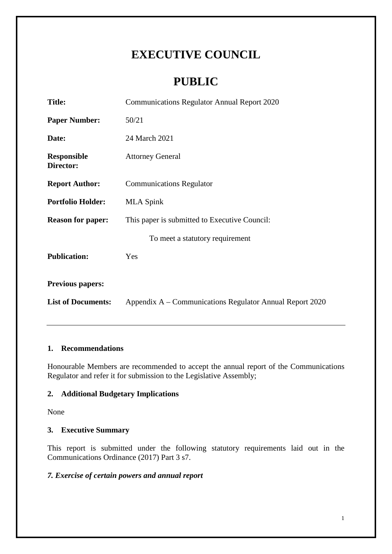# **EXECUTIVE COUNCIL**

# **PUBLIC**

| <b>Title:</b>                   | <b>Communications Regulator Annual Report 2020</b>       |  |  |
|---------------------------------|----------------------------------------------------------|--|--|
| <b>Paper Number:</b>            | 50/21                                                    |  |  |
| Date:                           | 24 March 2021                                            |  |  |
| <b>Responsible</b><br>Director: | <b>Attorney General</b>                                  |  |  |
| <b>Report Author:</b>           | <b>Communications Regulator</b>                          |  |  |
| <b>Portfolio Holder:</b>        | <b>MLA Spink</b>                                         |  |  |
| <b>Reason for paper:</b>        | This paper is submitted to Executive Council:            |  |  |
|                                 | To meet a statutory requirement                          |  |  |
| <b>Publication:</b>             | Yes                                                      |  |  |
| <b>Previous papers:</b>         |                                                          |  |  |
| <b>List of Documents:</b>       | Appendix A – Communications Regulator Annual Report 2020 |  |  |

# **1. Recommendations**

Honourable Members are recommended to accept the annual report of the Communications Regulator and refer it for submission to the Legislative Assembly;

# **2. Additional Budgetary Implications**

None

# **3. Executive Summary**

This report is submitted under the following statutory requirements laid out in the Communications Ordinance (2017) Part 3 s7.

# *7. Exercise of certain powers and annual report*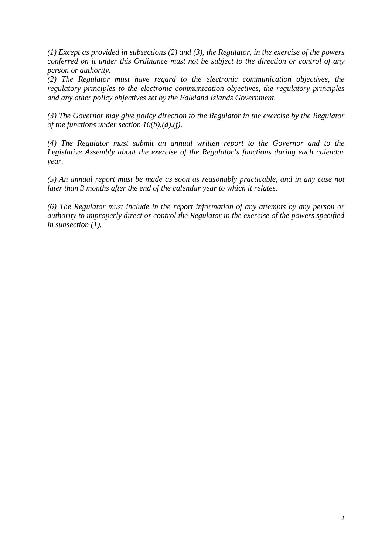*(1) Except as provided in subsections (2) and (3), the Regulator, in the exercise of the powers conferred on it under this Ordinance must not be subject to the direction or control of any person or authority.*

*(2) The Regulator must have regard to the electronic communication objectives, the regulatory principles to the electronic communication objectives, the regulatory principles and any other policy objectives set by the Falkland Islands Government.*

*(3) The Governor may give policy direction to the Regulator in the exercise by the Regulator of the functions under section 10(b),(d),(f).*

*(4) The Regulator must submit an annual written report to the Governor and to the Legislative Assembly about the exercise of the Regulator's functions during each calendar year.*

*(5) An annual report must be made as soon as reasonably practicable, and in any case not later than 3 months after the end of the calendar year to which it relates.*

*(6) The Regulator must include in the report information of any attempts by any person or authority to improperly direct or control the Regulator in the exercise of the powers specified in subsection (1).*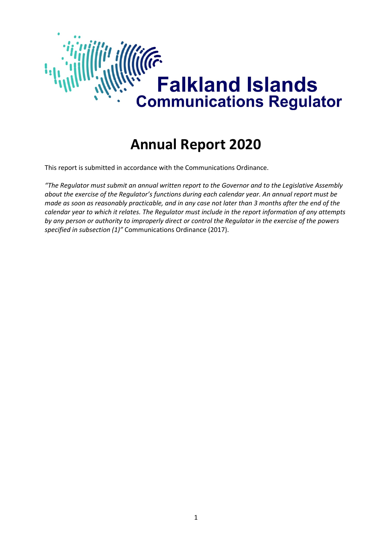

# **Annual Report 2020**

This report is submitted in accordance with the Communications Ordinance.

*"The Regulator must submit an annual written report to the Governor and to the Legislative Assembly about the exercise of the Regulator's functions during each calendar year. An annual report must be made as soon as reasonably practicable, and in any case not later than 3 months after the end of the calendar year to which it relates. The Regulator must include in the report information of any attempts by any person or authority to improperly direct or control the Regulator in the exercise of the powers specified in subsection (1)"* Communications Ordinance (2017).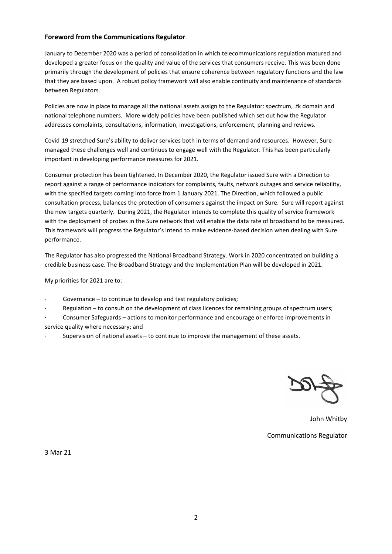#### **Foreword from the Communications Regulator**

January to December 2020 was a period of consolidation in which telecommunications regulation matured and developed a greater focus on the quality and value of the services that consumers receive. This was been done primarily through the development of policies that ensure coherence between regulatory functions and the law that they are based upon. A robust policy framework will also enable continuity and maintenance of standards between Regulators.

Policies are now in place to manage all the national assets assign to the Regulator: spectrum, .fk domain and national telephone numbers. More widely policies have been published which set out how the Regulator addresses complaints, consultations, information, investigations, enforcement, planning and reviews.

Covid-19 stretched Sure's ability to deliver services both in terms of demand and resources. However, Sure managed these challenges well and continues to engage well with the Regulator. This has been particularly important in developing performance measures for 2021.

Consumer protection has been tightened. In December 2020, the Regulator issued Sure with a Direction to report against a range of performance indicators for complaints, faults, network outages and service reliability, with the specified targets coming into force from 1 January 2021. The Direction, which followed a public consultation process, balances the protection of consumers against the impact on Sure. Sure will report against the new targets quarterly. During 2021, the Regulator intends to complete this quality of service framework with the deployment of probes in the Sure network that will enable the data rate of broadband to be measured. This framework will progress the Regulator's intend to make evidence-based decision when dealing with Sure performance.

The Regulator has also progressed the National Broadband Strategy. Work in 2020 concentrated on building a credible business case. The Broadband Strategy and the Implementation Plan will be developed in 2021.

My priorities for 2021 are to:

- Governance to continue to develop and test regulatory policies;
- Regulation to consult on the development of class licences for remaining groups of spectrum users;
- · Consumer Safeguards actions to monitor performance and encourage or enforce improvements in service quality where necessary; and
- Supervision of national assets to continue to improve the management of these assets.

John Whitby Communications Regulator

3 Mar 21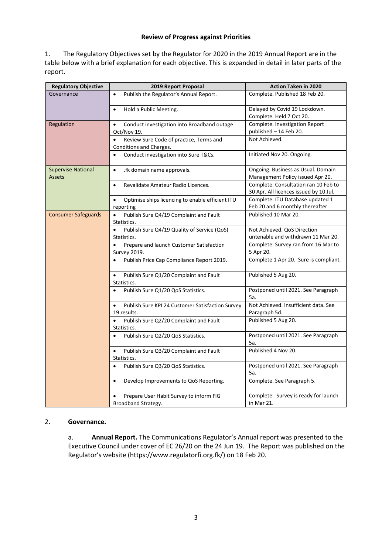#### **Review of Progress against Priorities**

1. The Regulatory Objectives set by the Regulator for 2020 in the 2019 Annual Report are in the table below with a brief explanation for each objective. This is expanded in detail in later parts of the report.

| <b>Regulatory Objective</b>                | 2019 Report Proposal                                                            | <b>Action Taken in 2020</b>                                                    |  |
|--------------------------------------------|---------------------------------------------------------------------------------|--------------------------------------------------------------------------------|--|
| Governance                                 | Publish the Regulator's Annual Report.<br>$\bullet$                             | Complete. Published 18 Feb 20.                                                 |  |
|                                            | Hold a Public Meeting.<br>$\bullet$                                             | Delayed by Covid 19 Lockdown.<br>Complete. Held 7 Oct 20.                      |  |
| Regulation                                 | Conduct investigation into Broadband outage<br>$\bullet$<br>Oct/Nov 19.         | Complete. Investigation Report<br>published - 14 Feb 20.                       |  |
|                                            | Review Sure Code of practice, Terms and<br>$\bullet$<br>Conditions and Charges. | Not Achieved.                                                                  |  |
|                                            | Conduct investigation into Sure T&Cs.                                           | Initiated Nov 20. Ongoing.                                                     |  |
| <b>Supervise National</b><br><b>Assets</b> | .fk domain name approvals.<br>$\bullet$                                         | Ongoing. Business as Usual. Domain<br>Management Policy issued Apr 20.         |  |
|                                            | Revalidate Amateur Radio Licences.<br>$\bullet$                                 | Complete. Consultation ran 10 Feb to<br>30 Apr. All licences issued by 10 Jul. |  |
|                                            | Optimise ships licencing to enable efficient ITU<br>$\bullet$<br>reporting      | Complete. ITU Database updated 1<br>Feb 20 and 6 monthly thereafter.           |  |
| <b>Consumer Safeguards</b>                 | Publish Sure Q4/19 Complaint and Fault<br>$\bullet$<br>Statistics.              | Published 10 Mar 20.                                                           |  |
|                                            | Publish Sure Q4/19 Quality of Service (QoS)<br>$\bullet$<br>Statistics.         | Not Achieved. QoS Direction<br>untenable and withdrawn 11 Mar 20.              |  |
|                                            | Prepare and launch Customer Satisfaction<br>$\bullet$<br>Survey 2019.           | Complete. Survey ran from 16 Mar to<br>5 Apr 20.                               |  |
|                                            | Publish Price Cap Compliance Report 2019.<br>$\bullet$                          | Complete 1 Apr 20. Sure is compliant.                                          |  |
|                                            | Publish Sure Q1/20 Complaint and Fault<br>$\bullet$<br>Statistics.              | Published 5 Aug 20.                                                            |  |
|                                            | Publish Sure Q1/20 QoS Statistics.                                              | Postponed until 2021. See Paragraph<br>5a.                                     |  |
|                                            | Publish Sure KPI 24 Customer Satisfaction Survey<br>$\bullet$<br>19 results.    | Not Achieved. Insufficient data. See<br>Paragraph 5d.                          |  |
|                                            | Publish Sure Q2/20 Complaint and Fault<br>$\bullet$<br>Statistics.              | Published 5 Aug 20.                                                            |  |
|                                            | Publish Sure Q2/20 QoS Statistics.<br>$\bullet$                                 | Postponed until 2021. See Paragraph<br>5а.                                     |  |
|                                            | Publish Sure Q3/20 Complaint and Fault<br>Statistics.                           | Published 4 Nov 20.                                                            |  |
|                                            | Publish Sure Q3/20 QoS Statistics.<br>$\bullet$                                 | Postponed until 2021. See Paragraph<br>5а.                                     |  |
|                                            | Develop Improvements to QoS Reporting.<br>$\bullet$                             | Complete. See Paragraph 5.                                                     |  |
|                                            | Prepare User Habit Survey to inform FIG<br>Broadband Strategy.                  | Complete. Survey is ready for launch<br>in Mar 21.                             |  |

#### 2. **Governance.**

a. **Annual Report.** The Communications Regulator's Annual report was presented to the Executive Council under cover of EC 26/20 on the 24 Jun 19. The Report was published on the Regulator's website [\(https://www.regulatorfi.org.fk/\)](https://www.regulatorfi.org.fk/) on 18 Feb 20.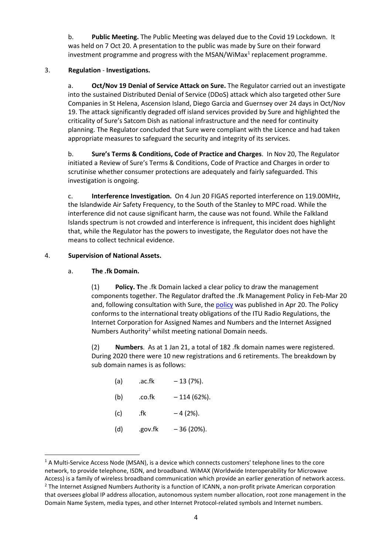b. **Public Meeting.** The Public Meeting was delayed due to the Covid 19 Lockdown. It was held on 7 Oct 20. A presentation to the public was made by Sure on their forward investment programme and progress with the MSAN/WiMax<sup>[1](#page-5-0)</sup> replacement programme.

## 3. **Regulation** - **Investigations.**

a. **Oct/Nov 19 Denial of Service Attack on Sure.** The Regulator carried out an investigate into the sustained Distributed Denial of Service (DDoS) attack which also targeted other Sure Companies in St Helena, Ascension Island, Diego Garcia and Guernsey over 24 days in Oct/Nov 19. The attack significantly degraded off island services provided by Sure and highlighted the criticality of Sure's Satcom Dish as national infrastructure and the need for continuity planning. The Regulator concluded that Sure were compliant with the Licence and had taken appropriate measures to safeguard the security and integrity of its services.

b. **Sure's Terms & Conditions, Code of Practice and Charges**. In Nov 20, The Regulator initiated a Review of Sure's Terms & Conditions, Code of Practice and Charges in order to scrutinise whether consumer protections are adequately and fairly safeguarded. This investigation is ongoing.

c. **Interference Investigation.** On 4 Jun 20 FIGAS reported interference on 119.00MHz, the Islandwide Air Safety Frequency, to the South of the Stanley to MPC road. While the interference did not cause significant harm, the cause was not found. While the Falkland Islands spectrum is not crowded and interference is infrequent, this incident does highlight that, while the Regulator has the powers to investigate, the Regulator does not have the means to collect technical evidence.

## 4. **Supervision of National Assets.**

## a. **The .fk Domain.**

(1) **Policy. T**he .fk Domain lacked a clear policy to draw the management components together. The Regulator drafted the .fk Management Policy in Feb-Mar 20 and, following consultation with Sure, the [policy](file://fig.fk/AGData/Regulator/1.6.%20Pt%209%20Consumer%20Standards%20and%20Protections/85.%20Domain%20Names/85.4%20-%20Policy/20200324-Policy%20for%20the%20Management%20of%20the%20.fk%20Domain-CR.pdf) was published in Apr 20. The Policy conforms to the international treaty obligations of the ITU Radio Regulations, the Internet Corporation for Assigned Names and Numbers and the Internet Assigned Numbers Authority<sup>2</sup> whilst meeting national Domain needs.

(2) **Numbers**. As at 1 Jan 21, a total of 182 .fk domain names were registered. During 2020 there were 10 new registrations and 6 retirements. The breakdown by sub domain names is as follows:

| (a) | .ac.fk  | $-13(7%)$ .  |
|-----|---------|--------------|
| (b) | .co.fk  | $-114(62%).$ |
| (c) | .fk     | $-4(2%)$ .   |
| (d) | .gov.fk | $-36(20\%).$ |

<span id="page-5-1"></span><span id="page-5-0"></span><sup>&</sup>lt;sup>1</sup> A Multi-Service Access Node (MSAN), is a device which connects customers' telephone lines to the core network, to provide telephone, ISDN, and broadband. WiMAX (Worldwide Interoperability for Microwave Access) is a family of wireless broadband communication which provide an earlier generation of network access. <sup>2</sup> The Internet Assigned Numbers Authority is a function of ICANN, a non-profit private American corporation that oversees global IP address allocation, autonomous system number allocation, root zone management in the Domain Name System, media types, and other Internet Protocol-related symbols and Internet numbers.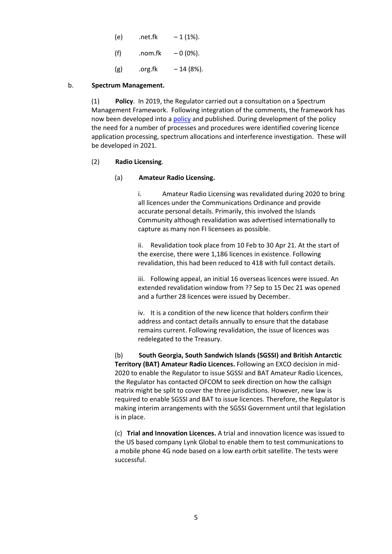- (e)  $.net.fk 1 (1%).$
- (f)  $.00m.fk 0(0\%).$
- $(g)$  .org.fk  $-14 (8%)$ .

#### b. **Spectrum Management.**

(1) **Policy**. In 2019, the Regulator carried out a consultation on a Spectrum Management Framework. Following integration of the comments, the framework has now been developed into [a policy](file://fig.fk/AGData/Regulator/1.3.%20Pt%206%20Spectrum/53B%20-%20Spectrum%20Functions/Spectrum%20Policy/20200807-Spectrum%20Management%20Policy%20v2.1-CR.docx) and published. During development of the policy the need for a number of processes and procedures were identified covering licence application processing, spectrum allocations and interference investigation. These will be developed in 2021.

#### (2) **Radio Licensing**.

#### (a) **Amateur Radio Licensing.**

i. Amateur Radio Licensing was revalidated during 2020 to bring all licences under the Communications Ordinance and provide accurate personal details. Primarily, this involved the Islands Community although revalidation was advertised internationally to capture as many non FI licensees as possible.

Revalidation took place from 10 Feb to 30 Apr 21. At the start of the exercise, there were 1,186 licences in existence. Following revalidation, this had been reduced to 418 with full contact details.

iii. Following appeal, an initial 16 overseas licences were issued. An extended revalidation window from ?? Sep to 15 Dec 21 was opened and a further 28 licences were issued by December.

iv. It is a condition of the new licence that holders confirm their address and contact details annually to ensure that the database remains current. Following revalidation, the issue of licences was redelegated to the Treasury.

(b) **South Georgia, South Sandwich Islands (SGSSI) and British Antarctic Territory (BAT) Amateur Radio Licences.** Following an EXCO decision in mid-2020 to enable the Regulator to issue SGSSI and BAT Amateur Radio Licences, the Regulator has contacted OFCOM to seek direction on how the callsign matrix might be split to cover the three jurisdictions. However, new law is required to enable SGSSI and BAT to issue licences. Therefore, the Regulator is making interim arrangements with the SGSSI Government until that legislation is in place.

(c) **Trial and Innovation Licences.** A trial and innovation licence was issued to the US based company Lynk Global to enable them to test communications to a mobile phone 4G node based on a low earth orbit satellite. The tests were successful.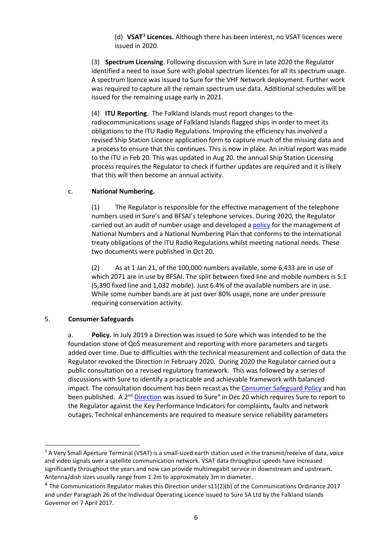(d) **VSAT[3](#page-7-0) Licences.** Although there has been interest, no VSAT licences were issued in 2020.

(3) **Spectrum Licensing**. Following discussion with Sure in late 2020 the Regulator identified a need to issue Sure with global spectrum licences for all its spectrum usage. A spectrum licence was issued to Sure for the VHF Network deployment. Further work was required to capture all the remain spectrum use data. Additional schedules will be issued for the remaining usage early in 2021.

(4) **ITU Reporting**. The Falkland Islands must report changes to the radiocommunications usage of Falkland Islands flagged ships in order to meet its obligations to the ITU Radio Regulations. Improving the efficiency has involved a revised Ship Station Licence application form to capture much of the missing data and a process to ensure that this continues. This is now in place. An initial report was made to the ITU in Feb 20. This was updated in Aug 20. the annual Ship Station Licensing process requires the Regulator to check if further updates are required and it is likely that this will then become an annual activity.

#### c. **National Numbering.**

(1) The Regulator is responsible for the effective management of the telephone numbers used in Sure's and BFSAI's telephone services. During 2020, the Regulator carried out an audit of number usage and developed a [policy](file://fig.fk/AGData/Regulator/1.6.%20Pt%209%20Consumer%20Standards%20and%20Protections/84.%20Numbering%20Plan/NNP/Policy/20201029-Policy%20for%20the%20Management%20of%20National%20Telephone%20Numbers%20v1.0-CR.pdf) for the management of National Numbers and a National Numbering Plan that conforms to the international treaty obligations of the ITU Radio Regulations whilst meeting national needs. These two documents were published in Oct 20.

(2) As at 1 Jan 21, of the 100,000 numbers available, some 6,433 are in use of which 2071 are in use by BFSAI. The split between fixed line and mobile numbers is 5:1 (5,390 fixed line and 1,032 mobile). Just 6.4% of the available numbers are in use. While some number bands are at just over 80% usage, none are under pressure requiring conservation activity.

#### 5. **Consumer Safeguards**

a. **Policy.** In July 2019 a Direction was issued to Sure which was intended to be the foundation stone of QoS measurement and reporting with more parameters and targets added over time. Due to difficulties with the technical measurement and collection of data the Regulator revoked the Direction in February 2020. During 2020 the Regulator carried out a public consultation on a revised regulatory framework. This was followed by a series of discussions with Sure to identify a practicable and achievable framework with balanced impact. The consultation document has been recast as the [Consumer Safeguard Policy](file://fig.fk/AGData/Regulator/2.7.%20Regulatory%20Policies/Consumer%20Safeguarding%20Policy/20210119-Consumer%20Safeguarding%20Policy%20v1.0-CR.pdf) and has been published. A  $2^{nd}$  [Direction](file://fig.fk/AGData/Regulator/1.0.%20Pt%203%20The%20Communications%20Regulator/11.%20General%20Powers%20&%20Directions/11(2)%20-%20Directions/QoS%20Direction%202/20201217-Sure%20CSPRF%20Direction%201-20%20v1.2-CR.pdf) was issued to Sure<sup>[4](#page-7-1)</sup> in Dec 20 which requires Sure to report to the Regulator against the Key Performance Indicators for complaints**,** faults and network outages. Technical enhancements are required to measure service reliability parameters

<span id="page-7-0"></span><sup>&</sup>lt;sup>3</sup> A Very Small Aperture Terminal (VSAT) is a small-sized earth station used in the transmit/receive of data, voice and video signals over a satellite communication network. VSAT data throughput speeds have increased significantly throughout the years and now can provide multimegabit service in downstream and upstream. Antenna/dish sizes usually range from 1.2m to approximately 3m in diameter.

<span id="page-7-1"></span><sup>4</sup> The Communications Regulator makes this Direction under s11(2)(b) of the Communications Ordinance 2017 and under Paragraph 26 of the Individual Operating Licence issued to Sure SA Ltd by the Falkland Islands Governor on 7 April 2017.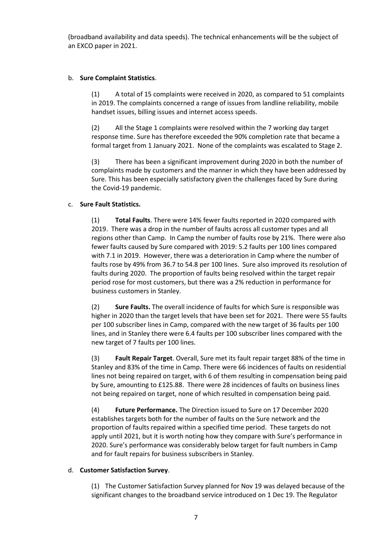(broadband availability and data speeds). The technical enhancements will be the subject of an EXCO paper in 2021.

#### b. **Sure Complaint Statistics**.

(1) A total of 15 complaints were received in 2020, as compared to 51 complaints in 2019. The complaints concerned a range of issues from landline reliability, mobile handset issues, billing issues and internet access speeds.

(2) All the Stage 1 complaints were resolved within the 7 working day target response time. Sure has therefore exceeded the 90% completion rate that became a formal target from 1 January 2021. None of the complaints was escalated to Stage 2.

(3) There has been a significant improvement during 2020 in both the number of complaints made by customers and the manner in which they have been addressed by Sure. This has been especially satisfactory given the challenges faced by Sure during the Covid-19 pandemic.

#### c. **Sure Fault Statistics.**

(1) **Total Faults**. There were 14% fewer faults reported in 2020 compared with 2019. There was a drop in the number of faults across all customer types and all regions other than Camp. In Camp the number of faults rose by 21%. There were also fewer faults caused by Sure compared with 2019: 5.2 faults per 100 lines compared with 7.1 in 2019. However, there was a deterioration in Camp where the number of faults rose by 49% from 36.7 to 54.8 per 100 lines. Sure also improved its resolution of faults during 2020. The proportion of faults being resolved within the target repair period rose for most customers, but there was a 2% reduction in performance for business customers in Stanley.

(2) **Sure Faults.** The overall incidence of faults for which Sure is responsible was higher in 2020 than the target levels that have been set for 2021. There were 55 faults per 100 subscriber lines in Camp, compared with the new target of 36 faults per 100 lines, and in Stanley there were 6.4 faults per 100 subscriber lines compared with the new target of 7 faults per 100 lines.

(3) **Fault Repair Target**. Overall, Sure met its fault repair target 88% of the time in Stanley and 83% of the time in Camp. There were 66 incidences of faults on residential lines not being repaired on target, with 6 of them resulting in compensation being paid by Sure, amounting to £125.88. There were 28 incidences of faults on business lines not being repaired on target, none of which resulted in compensation being paid.

(4) **Future Performance.** The Direction issued to Sure on 17 December 2020 establishes targets both for the number of faults on the Sure network and the proportion of faults repaired within a specified time period. These targets do not apply until 2021, but it is worth noting how they compare with Sure's performance in 2020. Sure's performance was considerably below target for fault numbers in Camp and for fault repairs for business subscribers in Stanley.

#### d. **Customer Satisfaction Survey**.

(1) The Customer Satisfaction Survey planned for Nov 19 was delayed because of the significant changes to the broadband service introduced on 1 Dec 19. The Regulator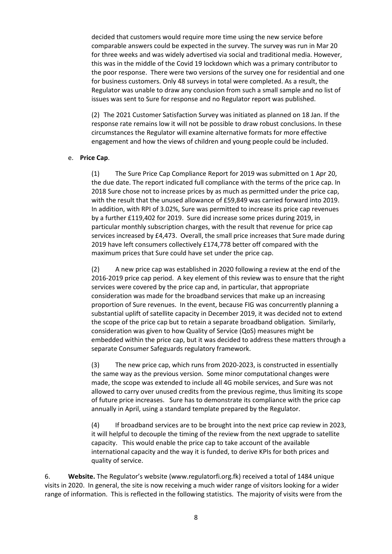decided that customers would require more time using the new service before comparable answers could be expected in the survey. The survey was run in Mar 20 for three weeks and was widely advertised via social and traditional media. However, this was in the middle of the Covid 19 lockdown which was a primary contributor to the poor response. There were two versions of the survey one for residential and one for business customers. Only 48 surveys in total were completed. As a result, the Regulator was unable to draw any conclusion from such a small sample and no list of issues was sent to Sure for response and no Regulator report was published.

(2) The 2021 Customer Satisfaction Survey was initiated as planned on 18 Jan. If the response rate remains low it will not be possible to draw robust conclusions. In these circumstances the Regulator will examine alternative formats for more effective engagement and how the views of children and young people could be included.

#### e. **Price Cap**.

(1) The Sure Price Cap Compliance Report for 2019 was submitted on 1 Apr 20, the due date. The report indicated full compliance with the terms of the price cap. In 2018 Sure chose not to increase prices by as much as permitted under the price cap, with the result that the unused allowance of £59,849 was carried forward into 2019. In addition, with RPI of 3.02%, Sure was permitted to increase its price cap revenues by a further £119,402 for 2019. Sure did increase some prices during 2019, in particular monthly subscription charges, with the result that revenue for price cap services increased by £4,473. Overall, the small price increases that Sure made during 2019 have left consumers collectively £174,778 better off compared with the maximum prices that Sure could have set under the price cap.

(2) A new price cap was established in 2020 following a review at the end of the 2016-2019 price cap period. A key element of this review was to ensure that the right services were covered by the price cap and, in particular, that appropriate consideration was made for the broadband services that make up an increasing proportion of Sure revenues. In the event, because FIG was concurrently planning a substantial uplift of satellite capacity in December 2019, it was decided not to extend the scope of the price cap but to retain a separate broadband obligation. Similarly, consideration was given to how Quality of Service (QoS) measures might be embedded within the price cap, but it was decided to address these matters through a separate Consumer Safeguards regulatory framework.

(3) The new price cap, which runs from 2020-2023, is constructed in essentially the same way as the previous version. Some minor computational changes were made, the scope was extended to include all 4G mobile services, and Sure was not allowed to carry over unused credits from the previous regime, thus limiting its scope of future price increases. Sure has to demonstrate its compliance with the price cap annually in April, using a standard template prepared by the Regulator.

(4) If broadband services are to be brought into the next price cap review in 2023, it will helpful to decouple the timing of the review from the next upgrade to satellite capacity. This would enable the price cap to take account of the available international capacity and the way it is funded, to derive KPIs for both prices and quality of service.

6. **Website.** The Regulator's website [\(www.regulatorfi.org.fk\)](http://www.regulatorfi.org.fk/) received a total of 1484 unique visits in 2020. In general, the site is now receiving a much wider range of visitors looking for a wider range of information. This is reflected in the following statistics. The majority of visits were from the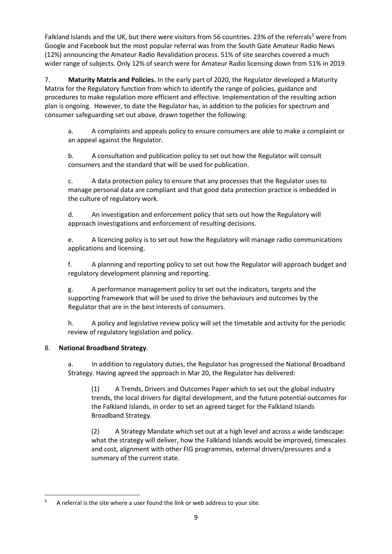Falkland Islands and the UK, but there were visitors from [5](#page-10-0)6 countries. 23% of the referrals<sup>5</sup> were from Google and Facebook but the most popular referral was from the South Gate Amateur Radio News (12%) announcing the Amateur Radio Revalidation process. 51% of site searches covered a much wider range of subjects. Only 12% of search were for Amateur Radio licensing down from 51% in 2019.

7. **Maturity Matrix and Policies.** In the early part of 2020, the Regulator developed a Maturity Matrix for the Regulatory function from which to identify the range of policies, guidance and procedures to make regulation more efficient and effective. Implementation of the resulting action plan is ongoing. However, to date the Regulator has, in addition to the policies for spectrum and consumer safeguarding set out above, drawn together the following:

a. A complaints and appeals policy to ensure consumers are able to make a complaint or an appeal against the Regulator.

b. A consultation and publication policy to set out how the Regulator will consult consumers and the standard that will be used for publication.

c. A data protection policy to ensure that any processes that the Regulator uses to manage personal data are compliant and that good data protection practice is imbedded in the culture of regulatory work.

d. An investigation and enforcement policy that sets out how the Regulatory will approach investigations and enforcement of resulting decisions.

e. A licencing policy is to set out how the Regulatory will manage radio communications applications and licensing.

f. A planning and reporting policy to set out how the Regulator will approach budget and regulatory development planning and reporting.

g. A performance management policy to set out the indicators, targets and the supporting framework that will be used to drive the behaviours and outcomes by the Regulator that are in the best interests of consumers.

h. A policy and legislative review policy will set the timetable and activity for the periodic review of regulatory legislation and policy.

# 8. **National Broadband Strategy**.

a. In addition to regulatory duties, the Regulator has progressed the National Broadband Strategy. Having agreed the approach in Mar 20, the Regulator has delivered:

(1) A Trends, Drivers and Outcomes Paper which to set out the global industry trends, the local drivers for digital development, and the future potential outcomes for the Falkland Islands, in order to set an agreed target for the Falkland Islands Broadband Strategy.

(2) A Strategy Mandate which set out at a high level and across a wide landscape: what the strategy will deliver, how the Falkland Islands would be improved, timescales and cost, alignment with other FIG programmes, external drivers/pressures and a summary of the current state.

<span id="page-10-0"></span> $5$  A referral is the site where a user found the link or web address to your site.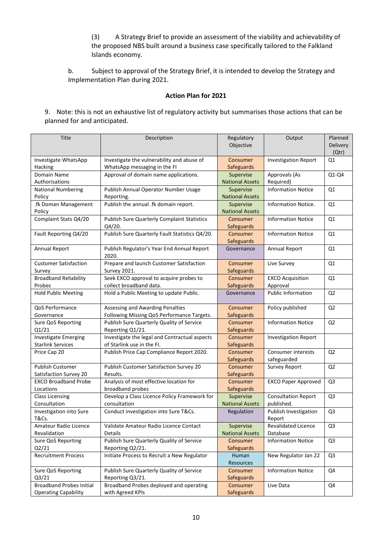(3) A Strategy Brief to provide an assessment of the viability and achievability of the proposed NBS built around a business case specifically tailored to the Falkland Islands economy.

b. Subject to approval of the Strategy Brief, it is intended to develop the Strategy and Implementation Plan during 2021.

#### **Action Plan for 2021**

9. Note: this is not an exhaustive list of regulatory activity but summarises those actions that can be planned for and anticipated.

| Title                           | Description                                         | Regulatory<br>Objective | Output                      | Planned<br>Delivery<br>(Qtr) |
|---------------------------------|-----------------------------------------------------|-------------------------|-----------------------------|------------------------------|
| Investigate WhatsApp            | Investigate the vulnerability and abuse of          | Consumer                | <b>Investigation Report</b> | Q1                           |
| Hacking                         | WhatsApp messaging in the FI                        | Safeguards              |                             |                              |
| Domain Name                     | Approval of domain name applications.               | Supervise               | Approvals (As               | $Q1-Q4$                      |
| Authorisations                  |                                                     | <b>National Assets</b>  | Required)                   |                              |
| <b>National Numbering</b>       | Publish Annual Operator Number Usage                | Supervise               | <b>Information Notice</b>   | Q1                           |
| Policy                          | Reporting.                                          | <b>National Assets</b>  |                             |                              |
| .fk Doman Management            | Publish the annual .fk domain report.               | Supervise               | Information Notice.         | Q1                           |
| Policy                          |                                                     | <b>National Assets</b>  |                             |                              |
| Complaint Stats Q4/20           | <b>Publish Sure Quarterly Complaint Statistics</b>  | Consumer                | <b>Information Notice</b>   | Q1                           |
|                                 | Q4/20.                                              | <b>Safeguards</b>       |                             |                              |
| Fault Reporting Q4/20           | Publish Sure Quarterly Fault Statistics Q4/20.      | Consumer                | <b>Information Notice</b>   | Q1                           |
|                                 |                                                     | Safeguards              |                             |                              |
| Annual Report                   | Publish Regulator's Year End Annual Report<br>2020. | Governance              | Annual Report               | Q1                           |
| <b>Customer Satisfaction</b>    | Prepare and launch Customer Satisfaction            | Consumer                | Live Survey                 | Q1                           |
| Survey                          | <b>Survey 2021.</b>                                 | Safeguards              |                             |                              |
| <b>Broadband Reliability</b>    | Seek EXCO approval to acquire probes to             | Consumer                | <b>EXCO Acquisition</b>     | Q1                           |
| Probes                          | collect broadband data.                             | Safeguards              | Approval                    |                              |
| <b>Hold Public Meeting</b>      | Hold a Public Meeting to update Public.             | Governance              | <b>Public Information</b>   | Q <sub>2</sub>               |
| QoS Performance                 | Assessing and Awarding Penalties                    | Consumer                | Policy published            | Q <sub>2</sub>               |
| Governance                      | Following Missing QoS Performance Targets.          | Safeguards              |                             |                              |
| Sure QoS Reporting              | Publish Sure Quarterly Quality of Service           | Consumer                | <b>Information Notice</b>   | Q <sub>2</sub>               |
| Q1/21                           | Reporting Q1/21.                                    | Safeguards              |                             |                              |
| <b>Investigate Emerging</b>     | Investigate the legal and Contractual aspects       | Consumer                | <b>Investigation Report</b> |                              |
| <b>Starlink Services</b>        | of Starlink use in the Fl.                          | <b>Safeguards</b>       |                             |                              |
| Price Cap 20                    | Publish Price Cap Compliance Report 2020.           | Consumer                | <b>Consumer interests</b>   | Q <sub>2</sub>               |
|                                 |                                                     | <b>Safeguards</b>       | safeguarded                 |                              |
| <b>Publish Customer</b>         | Publish Customer Satisfaction Survey 20             | Consumer                | <b>Survey Report</b>        | Q <sub>2</sub>               |
| Satisfaction Survey 20          | Results.                                            | <b>Safeguards</b>       |                             |                              |
| <b>EXCO Broadband Probe</b>     | Analysis of most effective location for             | Consumer                | <b>EXCO Paper Approved</b>  | Q <sub>3</sub>               |
| Locations                       | broadband probes                                    | <b>Safeguards</b>       |                             |                              |
| <b>Class Licensing</b>          | Develop a Class Licence Policy Framework for        | Supervise               | <b>Consultation Report</b>  | Q <sub>3</sub>               |
| Consultation                    | consultation                                        | <b>National Assets</b>  | published.                  |                              |
| Investigation into Sure         | Conduct investigation into Sure T&Cs.               | Regulation              | Publish Investigation       | Q <sub>3</sub>               |
| <b>T&amp;Cs.</b>                |                                                     |                         | Report                      |                              |
| <b>Amateur Radio Licence</b>    | Validate Amateur Radio Licence Contact              | Supervise               | <b>Revalidated Licence</b>  | Q3                           |
| Revalidation                    | Details                                             | <b>National Assets</b>  | Database                    |                              |
| Sure QoS Reporting              | Publish Sure Quarterly Quality of Service           | Consumer                | <b>Information Notice</b>   | Q <sub>3</sub>               |
| Q2/21                           | Reporting Q2/21.                                    | Safeguards              |                             |                              |
| <b>Recruitment Process</b>      | Initiate Process to Recruit a New Regulator         | Human                   | New Regulator Jan 22        | Q <sub>3</sub>               |
|                                 |                                                     | Resources               |                             |                              |
| Sure QoS Reporting              | Publish Sure Quarterly Quality of Service           | Consumer                | <b>Information Notice</b>   | Q4                           |
| Q3/21                           | Reporting Q3/21.                                    | Safeguards              |                             |                              |
| <b>Broadband Probes Initial</b> | Broadband Probes deployed and operating             | Consumer                | Live Data                   | Q4                           |
| <b>Operating Capability</b>     | with Agreed KPIs                                    | Safeguards              |                             |                              |